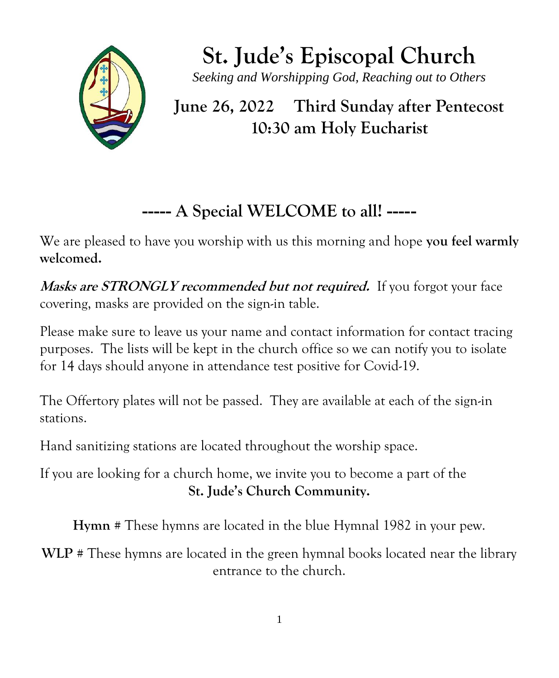

**St. Jude's Episcopal Church** *Seeking and Worshipping God, Reaching out to Others*

**June 26, 2022 Third Sunday after Pentecost 10:30 am Holy Eucharist**

# **----- A Special WELCOME to all! -----**

We are pleased to have you worship with us this morning and hope **you feel warmly welcomed.** 

**Masks are STRONGLY recommended but not required.** If you forgot your face covering, masks are provided on the sign-in table.

Please make sure to leave us your name and contact information for contact tracing purposes. The lists will be kept in the church office so we can notify you to isolate for 14 days should anyone in attendance test positive for Covid-19.

The Offertory plates will not be passed. They are available at each of the sign-in stations.

Hand sanitizing stations are located throughout the worship space.

If you are looking for a church home, we invite you to become a part of the **St. Jude's Church Community.**

**Hymn #** These hymns are located in the blue Hymnal 1982 in your pew.

**WLP #** These hymns are located in the green hymnal books located near the library entrance to the church.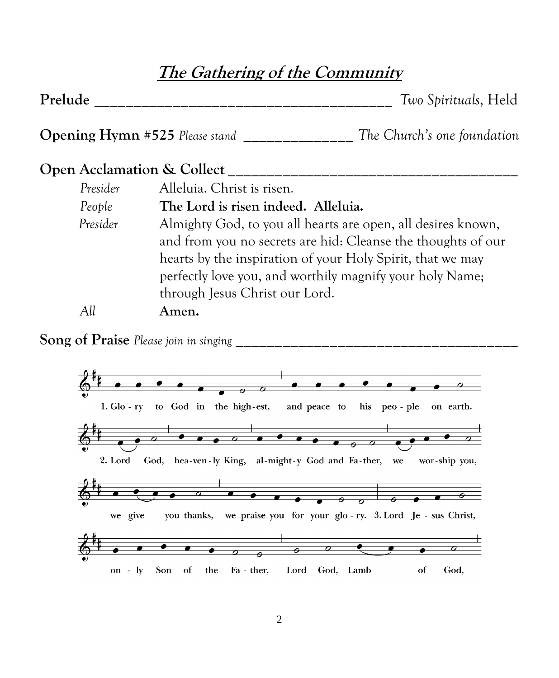## **The Gathering of the Community**

| Prelude |          | Two Spirituals, Held                                                                                                                                                                                                                                                                     |
|---------|----------|------------------------------------------------------------------------------------------------------------------------------------------------------------------------------------------------------------------------------------------------------------------------------------------|
|         |          | The Church's one foundation<br><b>Opening Hymn</b> #525 Please stand                                                                                                                                                                                                                     |
|         |          | Open Acclamation & Collect ___________________                                                                                                                                                                                                                                           |
|         | Presider | Alleluia. Christ is risen.                                                                                                                                                                                                                                                               |
|         | People   | The Lord is risen indeed. Alleluia.                                                                                                                                                                                                                                                      |
|         | Presider | Almighty God, to you all hearts are open, all desires known,<br>and from you no secrets are hid: Cleanse the thoughts of our<br>hearts by the inspiration of your Holy Spirit, that we may<br>perfectly love you, and worthily magnify your holy Name;<br>through Jesus Christ our Lord. |
|         | All      | Amen.                                                                                                                                                                                                                                                                                    |

**Song of Praise** *Please join in singing* **\_\_\_\_\_\_\_\_\_\_\_\_\_\_\_\_\_\_\_\_\_\_\_\_\_\_\_\_\_\_\_\_\_\_\_\_**

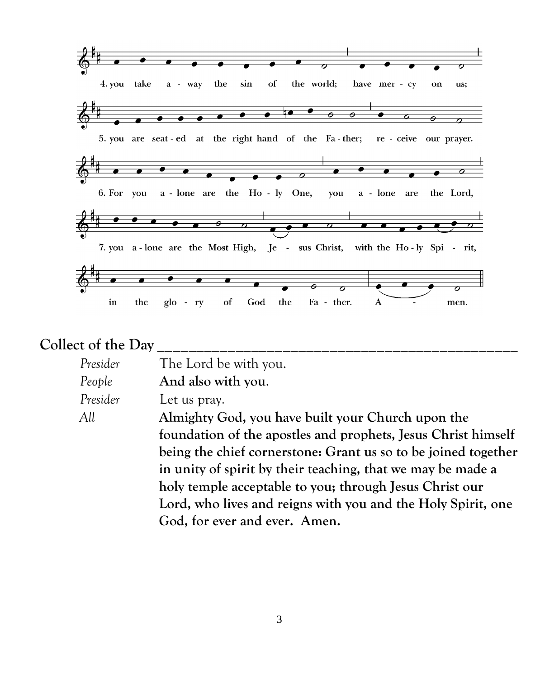

#### **Collect of the Day \_\_\_\_\_\_\_\_\_\_\_\_\_\_\_\_\_\_\_\_\_\_\_\_\_\_\_\_\_\_\_\_\_\_\_\_\_\_\_\_\_\_\_\_\_\_**

| Presider | The Lord be with you.                                          |
|----------|----------------------------------------------------------------|
| People   | And also with you.                                             |
| Presider | Let us pray.                                                   |
| All      | Almighty God, you have built your Church upon the              |
|          | foundation of the apostles and prophets, Jesus Christ himself  |
|          | being the chief cornerstone: Grant us so to be joined together |
|          | in unity of spirit by their teaching, that we may be made a    |
|          | holy temple acceptable to you; through Jesus Christ our        |
|          | Lord, who lives and reigns with you and the Holy Spirit, one   |
|          | God, for ever and ever. Amen.                                  |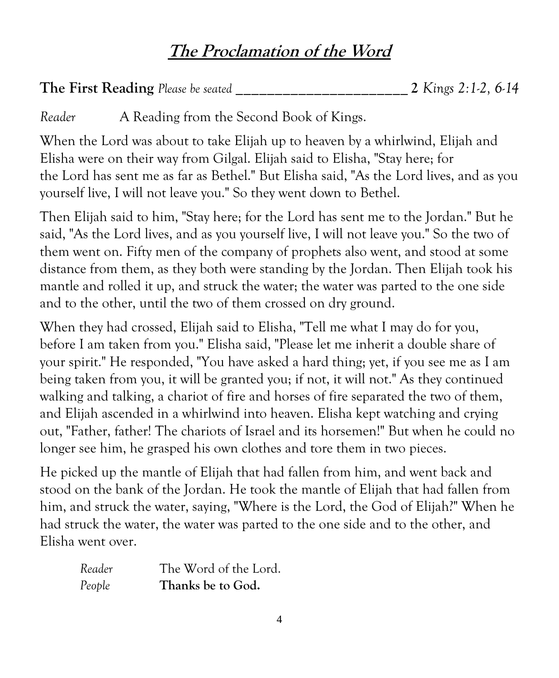## **The Proclamation of the Word**

**The First Reading** *Please be seated* **\_\_\_\_\_\_\_\_\_\_\_\_\_\_\_\_\_\_\_\_\_\_ 2** *Kings 2:1-2, 6-14*

*Reader* A Reading from the Second Book of Kings.

When the Lord was about to take Elijah up to heaven by a whirlwind, Elijah and Elisha were on their way from Gilgal. Elijah said to Elisha, "Stay here; for the Lord has sent me as far as Bethel." But Elisha said, "As the Lord lives, and as you yourself live, I will not leave you." So they went down to Bethel.

Then Elijah said to him, "Stay here; for the Lord has sent me to the Jordan." But he said, "As the Lord lives, and as you yourself live, I will not leave you." So the two of them went on. Fifty men of the company of prophets also went, and stood at some distance from them, as they both were standing by the Jordan. Then Elijah took his mantle and rolled it up, and struck the water; the water was parted to the one side and to the other, until the two of them crossed on dry ground.

When they had crossed, Elijah said to Elisha, "Tell me what I may do for you, before I am taken from you." Elisha said, "Please let me inherit a double share of your spirit." He responded, "You have asked a hard thing; yet, if you see me as I am being taken from you, it will be granted you; if not, it will not." As they continued walking and talking, a chariot of fire and horses of fire separated the two of them, and Elijah ascended in a whirlwind into heaven. Elisha kept watching and crying out, "Father, father! The chariots of Israel and its horsemen!" But when he could no longer see him, he grasped his own clothes and tore them in two pieces.

He picked up the mantle of Elijah that had fallen from him, and went back and stood on the bank of the Jordan. He took the mantle of Elijah that had fallen from him, and struck the water, saying, "Where is the Lord, the God of Elijah?" When he had struck the water, the water was parted to the one side and to the other, and Elisha went over.

| Reader | The Word of the Lord. |
|--------|-----------------------|
| People | Thanks be to God.     |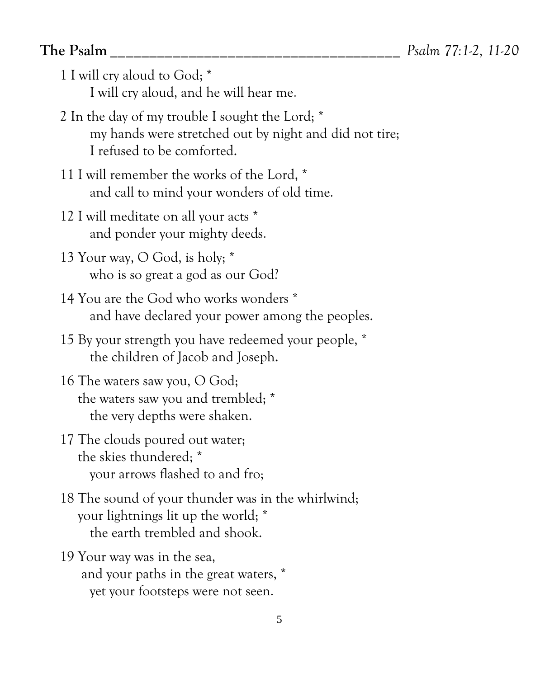- 1 I will cry aloud to God; \* I will cry aloud, and he will hear me.
- 2 In the day of my trouble I sought the Lord; \* my hands were stretched out by night and did not tire; I refused to be comforted.
- 11 I will remember the works of the Lord, \* and call to mind your wonders of old time.
- 12 I will meditate on all your acts \* and ponder your mighty deeds.
- 13 Your way, O God, is holy; \* who is so great a god as our God?
- 14 You are the God who works wonders \* and have declared your power among the peoples.
- 15 By your strength you have redeemed your people, \* the children of Jacob and Joseph.
- 16 The waters saw you, O God; the waters saw you and trembled; \* the very depths were shaken.
- 17 The clouds poured out water; the skies thundered; \* your arrows flashed to and fro;
- 18 The sound of your thunder was in the whirlwind; your lightnings lit up the world; \* the earth trembled and shook.
- 19 Your way was in the sea, and your paths in the great waters, \* yet your footsteps were not seen.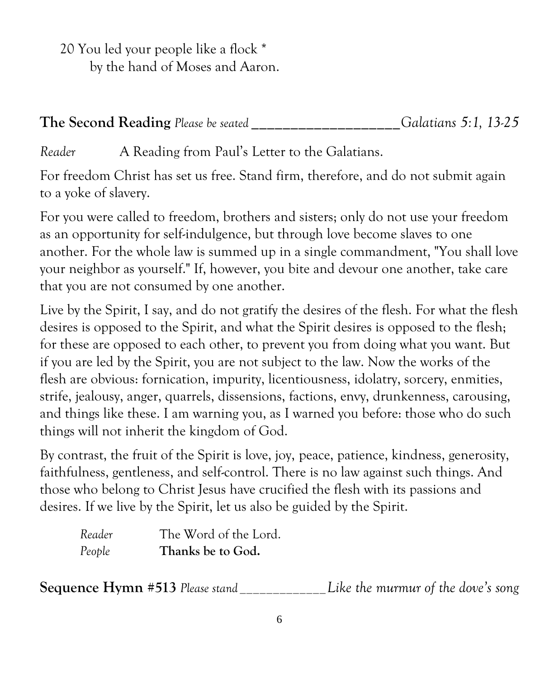20 You led your people like a flock \* by the hand of Moses and Aaron.

**The Second Reading** *Please be seated* **\_\_\_\_\_\_\_\_\_\_\_\_\_\_\_\_\_\_\_***Galatians 5:1, 13-25*

*Reader* A Reading from Paul's Letter to the Galatians.

For freedom Christ has set us free. Stand firm, therefore, and do not submit again to a yoke of slavery.

For you were called to freedom, brothers and sisters; only do not use your freedom as an opportunity for self-indulgence, but through love become slaves to one another. For the whole law is summed up in a single commandment, "You shall love your neighbor as yourself." If, however, you bite and devour one another, take care that you are not consumed by one another.

Live by the Spirit, I say, and do not gratify the desires of the flesh. For what the flesh desires is opposed to the Spirit, and what the Spirit desires is opposed to the flesh; for these are opposed to each other, to prevent you from doing what you want. But if you are led by the Spirit, you are not subject to the law. Now the works of the flesh are obvious: fornication, impurity, licentiousness, idolatry, sorcery, enmities, strife, jealousy, anger, quarrels, dissensions, factions, envy, drunkenness, carousing, and things like these. I am warning you, as I warned you before: those who do such things will not inherit the kingdom of God.

By contrast, the fruit of the Spirit is love, joy, peace, patience, kindness, generosity, faithfulness, gentleness, and self-control. There is no law against such things. And those who belong to Christ Jesus have crucified the flesh with its passions and desires. If we live by the Spirit, let us also be guided by the Spirit.

| Reader | The Word of the Lord. |
|--------|-----------------------|
| People | Thanks be to God.     |

**Sequence Hymn #513** *Please stand \_\_\_\_\_\_\_\_\_\_\_\_\_Like the murmur of the dove's song*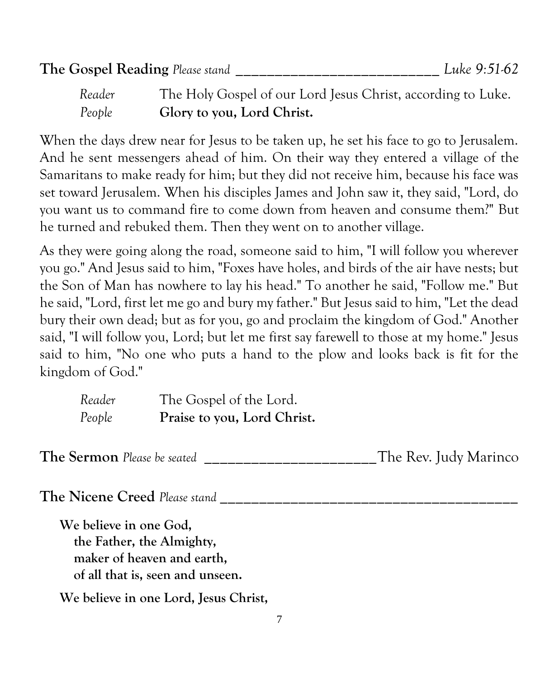| The Gospel Reading Please stand |  | Luke 9:51-62 |  |  |  |
|---------------------------------|--|--------------|--|--|--|
|---------------------------------|--|--------------|--|--|--|

*Reader* The Holy Gospel of our Lord Jesus Christ, according to Luke. *People* **Glory to you, Lord Christ.**

When the days drew near for Jesus to be taken up, he set his face to go to Jerusalem. And he sent messengers ahead of him. On their way they entered a village of the Samaritans to make ready for him; but they did not receive him, because his face was set toward Jerusalem. When his disciples James and John saw it, they said, "Lord, do you want us to command fire to come down from heaven and consume them?" But he turned and rebuked them. Then they went on to another village.

As they were going along the road, someone said to him, "I will follow you wherever you go." And Jesus said to him, "Foxes have holes, and birds of the air have nests; but the Son of Man has nowhere to lay his head." To another he said, "Follow me." But he said, "Lord, first let me go and bury my father." But Jesus said to him, "Let the dead bury their own dead; but as for you, go and proclaim the kingdom of God." Another said, "I will follow you, Lord; but let me first say farewell to those at my home." Jesus said to him, "No one who puts a hand to the plow and looks back is fit for the kingdom of God."

| Reader | The Gospel of the Lord.     |
|--------|-----------------------------|
| People | Praise to you, Lord Christ. |

**The Sermon** Please be seated **and The Rev. Judy Marinco** 

**The Nicene Creed** *Please stand* **\_\_\_\_\_\_\_\_\_\_\_\_\_\_\_\_\_\_\_\_\_\_\_\_\_\_\_\_\_\_\_\_\_\_\_\_\_\_**

**We believe in one God, the Father, the Almighty, maker of heaven and earth, of all that is, seen and unseen.**

**We believe in one Lord, Jesus Christ,**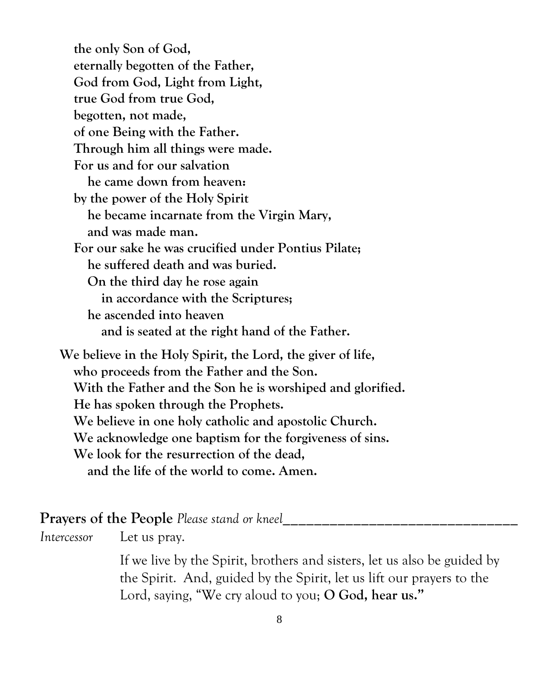**the only Son of God, eternally begotten of the Father, God from God, Light from Light, true God from true God, begotten, not made, of one Being with the Father. Through him all things were made. For us and for our salvation he came down from heaven: by the power of the Holy Spirit he became incarnate from the Virgin Mary, and was made man. For our sake he was crucified under Pontius Pilate; he suffered death and was buried. On the third day he rose again in accordance with the Scriptures; he ascended into heaven and is seated at the right hand of the Father. We believe in the Holy Spirit, the Lord, the giver of life, who proceeds from the Father and the Son. With the Father and the Son he is worshiped and glorified. He has spoken through the Prophets. We believe in one holy catholic and apostolic Church. We acknowledge one baptism for the forgiveness of sins. We look for the resurrection of the dead, and the life of the world to come. Amen.**

#### **Prayers of the People** Please stand or kneel

*Intercessor* Let us pray.

If we live by the Spirit, brothers and sisters, let us also be guided by the Spirit. And, guided by the Spirit, let us lift our prayers to the Lord, saying, "We cry aloud to you; **O God, hear us."**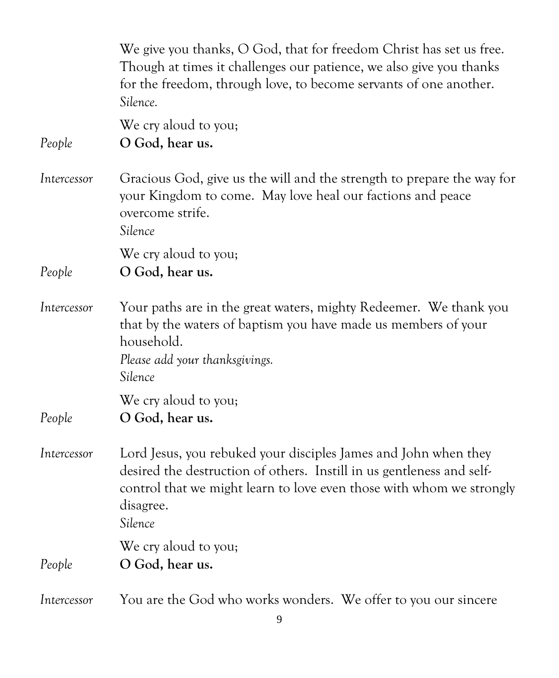|             | We give you thanks, O God, that for freedom Christ has set us free.<br>Though at times it challenges our patience, we also give you thanks<br>for the freedom, through love, to become servants of one another.<br>Silence.              |
|-------------|------------------------------------------------------------------------------------------------------------------------------------------------------------------------------------------------------------------------------------------|
|             | We cry aloud to you;                                                                                                                                                                                                                     |
| People      | O God, hear us.                                                                                                                                                                                                                          |
| Intercessor | Gracious God, give us the will and the strength to prepare the way for<br>your Kingdom to come. May love heal our factions and peace<br>overcome strife.<br>Silence                                                                      |
|             | We cry aloud to you;                                                                                                                                                                                                                     |
| People      | O God, hear us.                                                                                                                                                                                                                          |
| Intercessor | Your paths are in the great waters, mighty Redeemer. We thank you<br>that by the waters of baptism you have made us members of your<br>household.<br>Please add your thanksgivings.<br>Silence                                           |
|             | We cry aloud to you;                                                                                                                                                                                                                     |
| People      | O God, hear us.                                                                                                                                                                                                                          |
| Intercessor | Lord Jesus, you rebuked your disciples James and John when they<br>desired the destruction of others. Instill in us gentleness and self-<br>control that we might learn to love even those with whom we strongly<br>disagree.<br>Silence |
|             | We cry aloud to you;                                                                                                                                                                                                                     |
| People      | O God, hear us.                                                                                                                                                                                                                          |
| Intercessor | You are the God who works wonders. We offer to you our sincere                                                                                                                                                                           |

9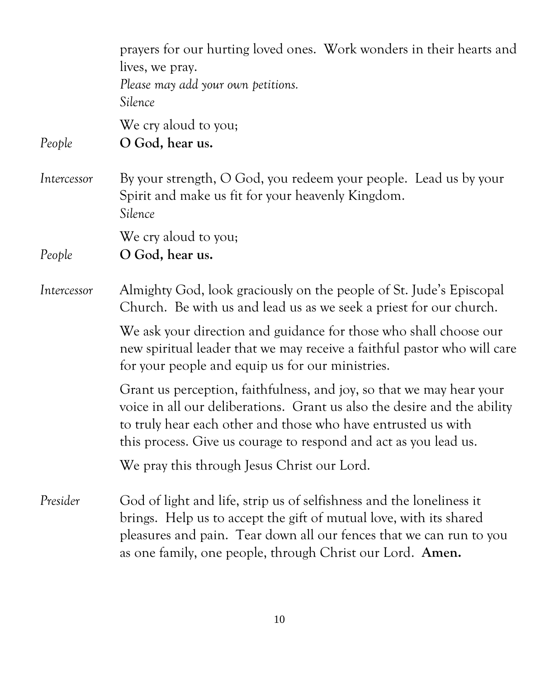|             | prayers for our hurting loved ones. Work wonders in their hearts and<br>lives, we pray.<br>Please may add your own petitions.<br>Silence                                                                                                                                              |
|-------------|---------------------------------------------------------------------------------------------------------------------------------------------------------------------------------------------------------------------------------------------------------------------------------------|
| People      | We cry aloud to you;<br>O God, hear us.                                                                                                                                                                                                                                               |
|             |                                                                                                                                                                                                                                                                                       |
| Intercessor | By your strength, O God, you redeem your people. Lead us by your<br>Spirit and make us fit for your heavenly Kingdom.<br>Silence                                                                                                                                                      |
| People      | We cry aloud to you;<br>O God, hear us.                                                                                                                                                                                                                                               |
| Intercessor | Almighty God, look graciously on the people of St. Jude's Episcopal<br>Church. Be with us and lead us as we seek a priest for our church.                                                                                                                                             |
|             | We ask your direction and guidance for those who shall choose our<br>new spiritual leader that we may receive a faithful pastor who will care<br>for your people and equip us for our ministries.                                                                                     |
|             | Grant us perception, faithfulness, and joy, so that we may hear your<br>voice in all our deliberations. Grant us also the desire and the ability<br>to truly hear each other and those who have entrusted us with<br>this process. Give us courage to respond and act as you lead us. |
|             | We pray this through Jesus Christ our Lord.                                                                                                                                                                                                                                           |
| Presider    | God of light and life, strip us of selfishness and the loneliness it<br>brings. Help us to accept the gift of mutual love, with its shared<br>pleasures and pain. Tear down all our fences that we can run to you<br>as one family, one people, through Christ our Lord. Amen.        |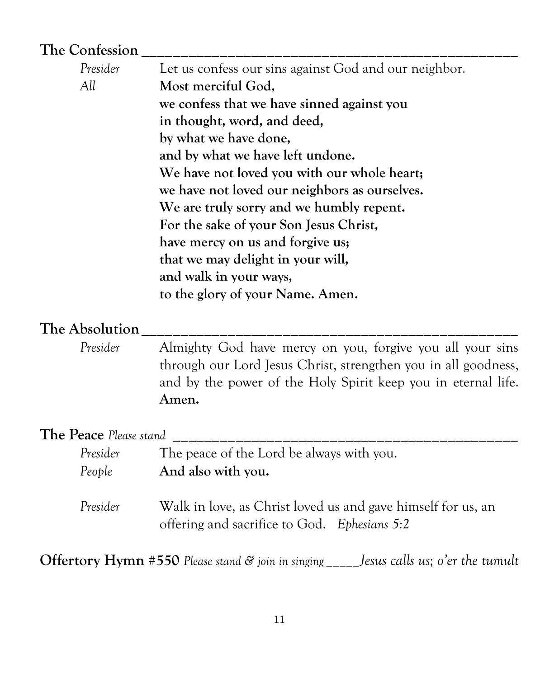## **The Confession \_\_\_\_\_\_\_\_\_\_\_\_\_\_\_\_\_\_\_\_\_\_\_\_\_\_\_\_\_\_\_\_\_\_\_\_\_\_\_\_\_\_\_\_\_\_\_\_**

| Presider                      | Let us confess our sins against God and our neighbor.                                                                                                                                                 |
|-------------------------------|-------------------------------------------------------------------------------------------------------------------------------------------------------------------------------------------------------|
| All                           | Most merciful God,                                                                                                                                                                                    |
|                               | we confess that we have sinned against you                                                                                                                                                            |
|                               | in thought, word, and deed,                                                                                                                                                                           |
|                               | by what we have done,                                                                                                                                                                                 |
|                               | and by what we have left undone.                                                                                                                                                                      |
|                               | We have not loved you with our whole heart;                                                                                                                                                           |
|                               | we have not loved our neighbors as ourselves.                                                                                                                                                         |
|                               | We are truly sorry and we humbly repent.                                                                                                                                                              |
|                               | For the sake of your Son Jesus Christ,                                                                                                                                                                |
|                               | have mercy on us and forgive us;                                                                                                                                                                      |
|                               | that we may delight in your will,                                                                                                                                                                     |
|                               | and walk in your ways,                                                                                                                                                                                |
|                               | to the glory of your Name. Amen.                                                                                                                                                                      |
|                               |                                                                                                                                                                                                       |
| The Absolution                |                                                                                                                                                                                                       |
| Presider                      | Almighty God have mercy on you, forgive you all your sins<br>through our Lord Jesus Christ, strengthen you in all goodness,<br>and by the power of the Holy Spirit keep you in eternal life.<br>Amen. |
| <b>The Peace</b> Please stand |                                                                                                                                                                                                       |
| Presider                      | The peace of the Lord be always with you.                                                                                                                                                             |
| People                        | And also with you.                                                                                                                                                                                    |
| Presider                      | Walk in love, as Christ loved us and gave himself for us, an<br>offering and sacrifice to God. Ephesians 5:2                                                                                          |

**Offertory Hymn #550** *Please stand & join in singing \_\_\_\_\_Jesus calls us; o'er the tumult*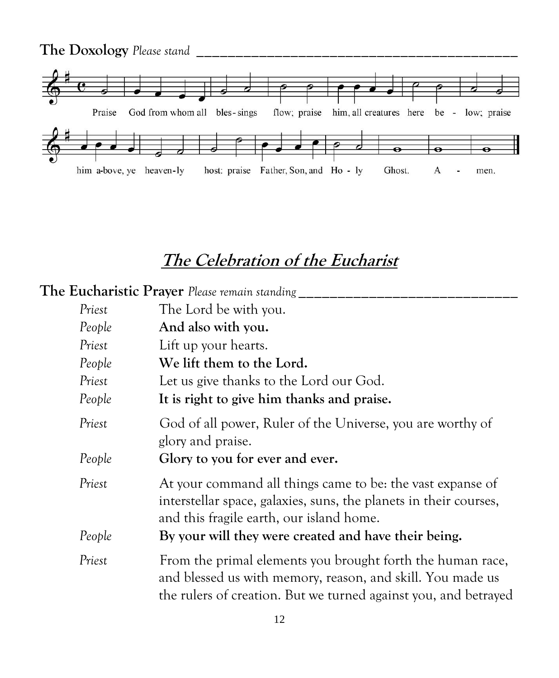

## **The Celebration of the Eucharist**

#### **The Eucharistic Prayer** *Please remain standing* **\_\_\_\_\_\_\_\_\_\_\_\_\_\_\_\_\_\_\_\_\_\_\_\_\_\_\_\_**

| Priest | The Lord be with you.                                                                                                                                                                       |
|--------|---------------------------------------------------------------------------------------------------------------------------------------------------------------------------------------------|
| People | And also with you.                                                                                                                                                                          |
| Priest | Lift up your hearts.                                                                                                                                                                        |
| People | We lift them to the Lord.                                                                                                                                                                   |
| Priest | Let us give thanks to the Lord our God.                                                                                                                                                     |
| People | It is right to give him thanks and praise.                                                                                                                                                  |
| Priest | God of all power, Ruler of the Universe, you are worthy of<br>glory and praise.                                                                                                             |
| People | Glory to you for ever and ever.                                                                                                                                                             |
| Priest | At your command all things came to be: the vast expanse of<br>interstellar space, galaxies, suns, the planets in their courses,<br>and this fragile earth, our island home.                 |
| People | By your will they were created and have their being.                                                                                                                                        |
| Priest | From the primal elements you brought forth the human race,<br>and blessed us with memory, reason, and skill. You made us<br>the rulers of creation. But we turned against you, and betrayed |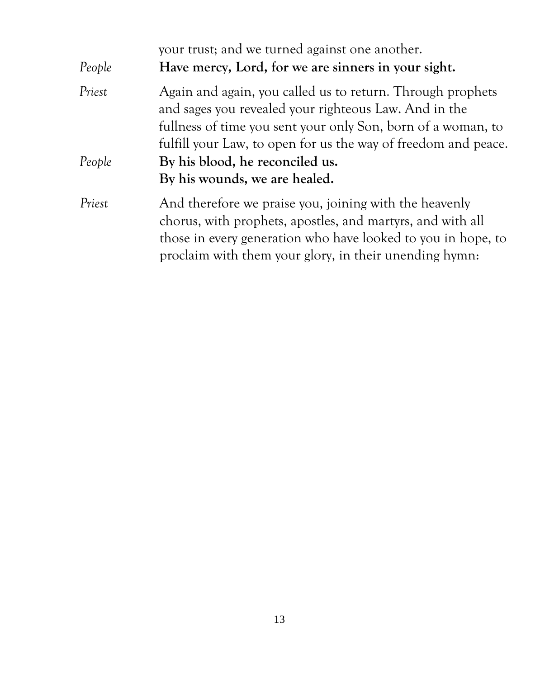| People | your trust; and we turned against one another.<br>Have mercy, Lord, for we are sinners in your sight.                                                                                                                                                 |
|--------|-------------------------------------------------------------------------------------------------------------------------------------------------------------------------------------------------------------------------------------------------------|
| Priest | Again and again, you called us to return. Through prophets<br>and sages you revealed your righteous Law. And in the<br>fullness of time you sent your only Son, born of a woman, to<br>fulfill your Law, to open for us the way of freedom and peace. |
| People | By his blood, he reconciled us.<br>By his wounds, we are healed.                                                                                                                                                                                      |
| Priest | And therefore we praise you, joining with the heavenly<br>chorus, with prophets, apostles, and martyrs, and with all<br>those in every generation who have looked to you in hope, to<br>proclaim with them your glory, in their unending hymn:        |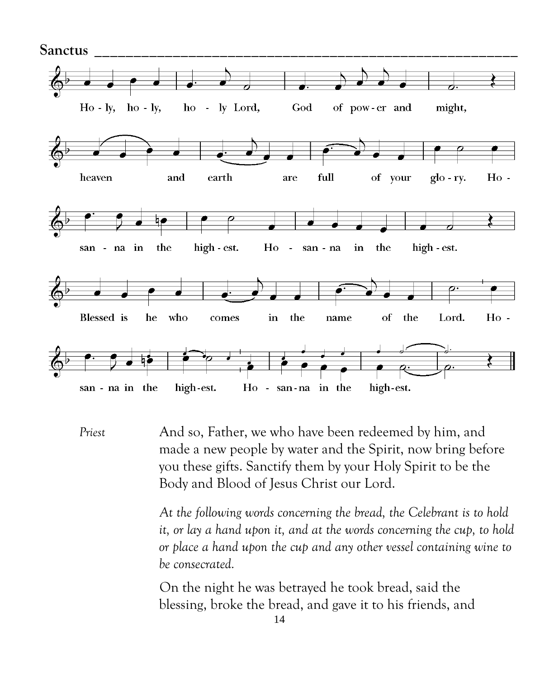

*Priest* And so, Father, we who have been redeemed by him, and made a new people by water and the Spirit, now bring before you these gifts. Sanctify them by your Holy Spirit to be the Body and Blood of Jesus Christ our Lord.

> *At the following words concerning the bread, the Celebrant is to hold it, or lay a hand upon it, and at the words concerning the cup, to hold or place a hand upon the cup and any other vessel containing wine to be consecrated.*

On the night he was betrayed he took bread, said the blessing, broke the bread, and gave it to his friends, and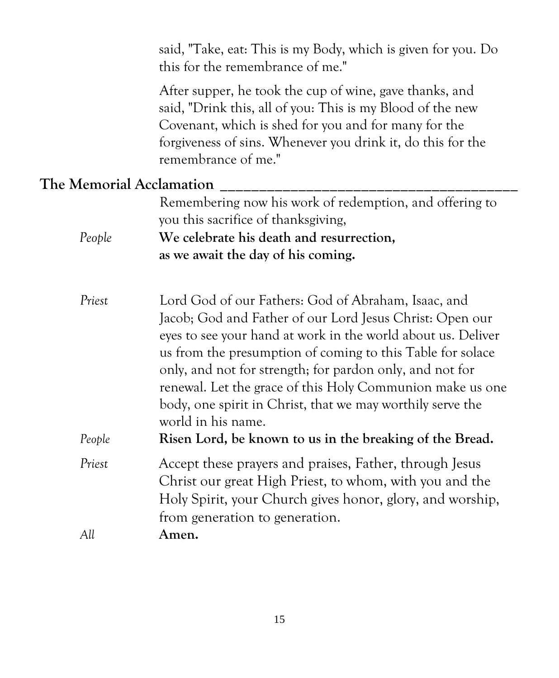said, "Take, eat: This is my Body, which is given for you. Do this for the remembrance of me."

After supper, he took the cup of wine, gave thanks, and said, "Drink this, all of you: This is my Blood of the new Covenant, which is shed for you and for many for the forgiveness of sins. Whenever you drink it, do this for the remembrance of me."

### **The Memorial Acclamation \_\_\_\_\_\_\_\_\_\_\_\_\_\_\_\_\_\_\_\_\_\_\_\_\_\_\_\_\_\_\_\_\_\_\_\_\_\_**

|        | Remembering now his work of redemption, and offering to |
|--------|---------------------------------------------------------|
|        | you this sacrifice of thanksgiving,                     |
| People | We celebrate his death and resurrection,                |
|        | as we await the day of his coming.                      |

*Priest* Lord God of our Fathers: God of Abraham, Isaac, and Jacob; God and Father of our Lord Jesus Christ: Open our eyes to see your hand at work in the world about us. Deliver us from the presumption of coming to this Table for solace only, and not for strength; for pardon only, and not for renewal. Let the grace of this Holy Communion make us one body, one spirit in Christ, that we may worthily serve the world in his name.

*People* **Risen Lord, be known to us in the breaking of the Bread.**

- *Priest* Accept these prayers and praises, Father, through Jesus Christ our great High Priest, to whom, with you and the Holy Spirit, your Church gives honor, glory, and worship, from generation to generation.
- *All* **Amen.**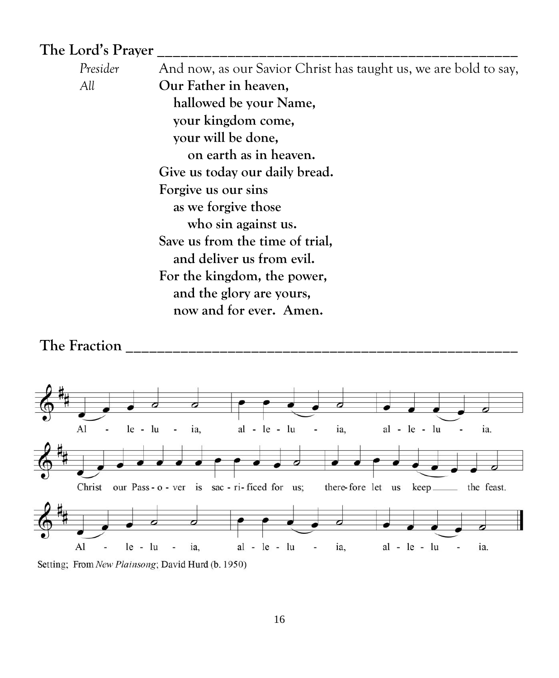#### **The Lord's Prayer \_\_\_\_\_\_\_\_\_\_\_\_\_\_\_\_\_\_\_\_\_\_\_\_\_\_\_\_\_\_\_\_\_\_\_\_\_\_\_\_\_\_\_\_\_\_**

*Presider* And now, as our Savior Christ has taught us, we are bold to say, *All* **Our Father in heaven, hallowed be your Name, your kingdom come, your will be done, on earth as in heaven. Give us today our daily bread. Forgive us our sins as we forgive those who sin against us. Save us from the time of trial, and deliver us from evil. For the kingdom, the power, and the glory are yours, now and for ever. Amen.**



Setting; From New Plainsong; David Hurd (b. 1950)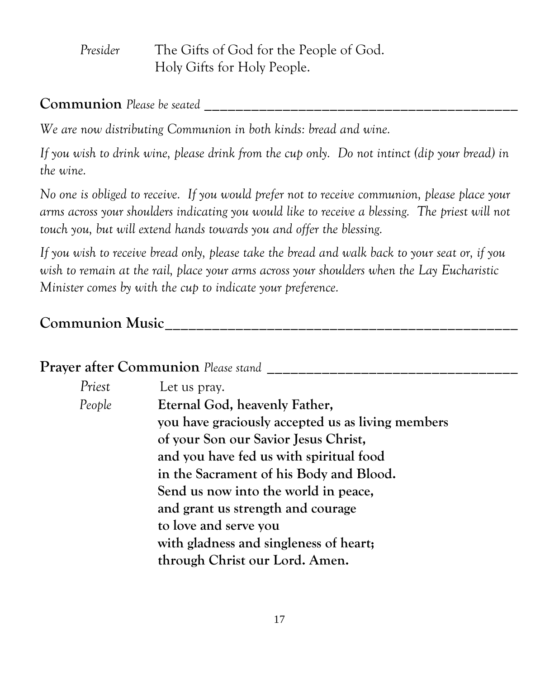*Presider* The Gifts of God for the People of God. Holy Gifts for Holy People.

**Communion** Please be seated

*We are now distributing Communion in both kinds: bread and wine.* 

*If you wish to drink wine, please drink from the cup only. Do not intinct (dip your bread) in the wine.*

*No one is obliged to receive. If you would prefer not to receive communion, please place your arms across your shoulders indicating you would like to receive a blessing. The priest will not touch you, but will extend hands towards you and offer the blessing.*

*If you wish to receive bread only, please take the bread and walk back to your seat or, if you wish to remain at the rail, place your arms across your shoulders when the Lay Eucharistic Minister comes by with the cup to indicate your preference.*

## **Communion Music\_\_\_\_\_\_\_\_\_\_\_\_\_\_\_\_\_\_\_\_\_\_\_\_\_\_\_\_\_\_\_\_\_\_\_\_\_\_\_\_\_\_\_\_\_**

| <b>Prayer after Communion</b> Please stand        |
|---------------------------------------------------|
| Let us pray.                                      |
| Eternal God, heavenly Father,                     |
| you have graciously accepted us as living members |
| of your Son our Savior Jesus Christ,              |
| and you have fed us with spiritual food           |
| in the Sacrament of his Body and Blood.           |
| Send us now into the world in peace,              |
| and grant us strength and courage                 |
| to love and serve you                             |
| with gladness and singleness of heart;            |
| through Christ our Lord. Amen.                    |
|                                                   |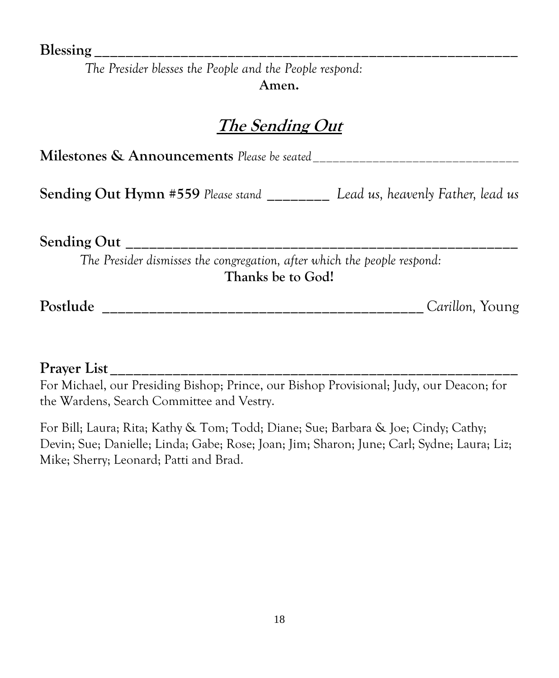#### **Blessing \_\_\_\_\_\_\_\_\_\_\_\_\_\_\_\_\_\_\_\_\_\_\_\_\_\_\_\_\_\_\_\_\_\_\_\_\_\_\_\_\_\_\_\_\_\_\_\_\_\_\_\_\_\_**

*The Presider blesses the People and the People respond:* **Amen.**

## **The Sending Out**

| <b>Sending Out Hymn #559 Please stand</b><br>Lead us, heavenly Father, lead us                                         |
|------------------------------------------------------------------------------------------------------------------------|
| Sending Out ______________________________<br>The Presider dismisses the congregation, after which the people respond: |
| Thanks be to God!                                                                                                      |
| Postlude<br>Carillon, Young                                                                                            |

#### **Prayer List \_\_\_\_\_\_\_\_\_\_\_\_\_\_\_\_\_\_\_\_\_\_\_\_\_\_\_\_\_\_\_\_\_\_\_\_\_\_\_\_\_\_\_\_\_\_\_\_\_\_\_\_**

For Michael, our Presiding Bishop; Prince, our Bishop Provisional; Judy, our Deacon; for the Wardens, Search Committee and Vestry.

For Bill; Laura; Rita; Kathy & Tom; Todd; Diane; Sue; Barbara & Joe; Cindy; Cathy; Devin; Sue; Danielle; Linda; Gabe; Rose; Joan; Jim; Sharon; June; Carl; Sydne; Laura; Liz; Mike; Sherry; Leonard; Patti and Brad.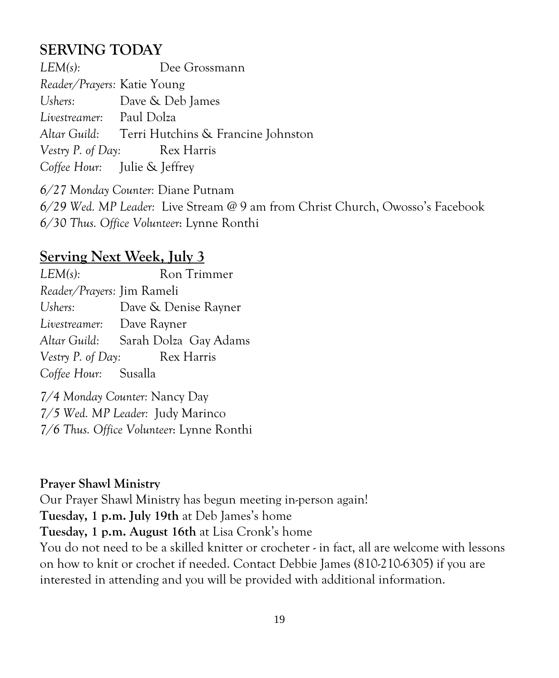#### **SERVING TODAY**

*LEM(s):* Dee Grossmann *Reader/Prayers:* Katie Young *Ushers:* Dave & Deb James *Livestreamer:* Paul Dolza *Altar Guild:* Terri Hutchins & Francine Johnston *Vestry P. of Day:* Rex Harris *Coffee Hour:* Julie & Jeffrey *6/27 Monday Counter:* Diane Putnam

*6/29 Wed. MP Leader:* Live Stream @ 9 am from Christ Church, Owosso's Facebook *6/30 Thus. Office Volunteer*: Lynne Ronthi

### **Serving Next Week, July 3**

*LEM(s):* Ron Trimmer *Reader/Prayers:* Jim Rameli *Ushers:* Dave & Denise Rayner *Livestreamer:* Dave Rayner *Altar Guild:* Sarah Dolza Gay Adams *Vestry P. of Day:* Rex Harris *Coffee Hour:* Susalla

*7/4 Monday Counter:* Nancy Day *7/5 Wed. MP Leader:* Judy Marinco *7/6 Thus. Office Volunteer*: Lynne Ronthi

#### **Prayer Shawl Ministry**

Our Prayer Shawl Ministry has begun meeting in-person again! **Tuesday, 1 p.m. July 19th** at Deb James's home **Tuesday, 1 p.m. August 16th** at Lisa Cronk's home You do not need to be a skilled knitter or crocheter - in fact, all are welcome with lessons on how to knit or crochet if needed. Contact Debbie James (810-210-6305) if you are interested in attending and you will be provided with additional information.